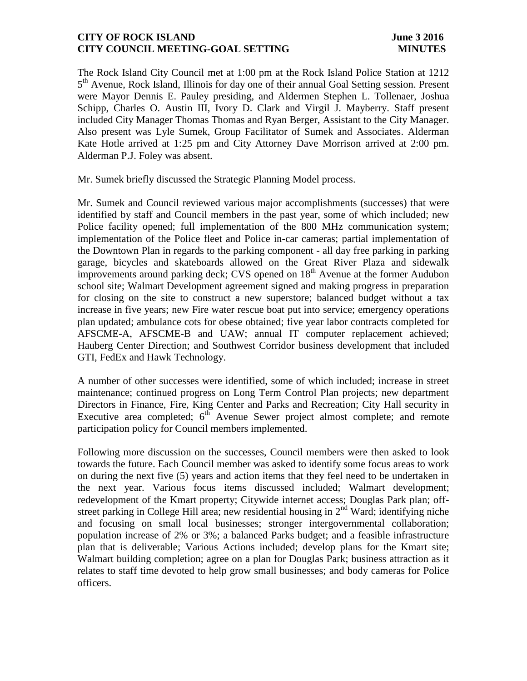## **CITY OF ROCK ISLAND June 3 2016 CITY COUNCIL MEETING-GOAL SETTING MINUTES**

The Rock Island City Council met at 1:00 pm at the Rock Island Police Station at 1212 5<sup>th</sup> Avenue, Rock Island, Illinois for day one of their annual Goal Setting session. Present were Mayor Dennis E. Pauley presiding, and Aldermen Stephen L. Tollenaer, Joshua Schipp, Charles O. Austin III, Ivory D. Clark and Virgil J. Mayberry. Staff present included City Manager Thomas Thomas and Ryan Berger, Assistant to the City Manager. Also present was Lyle Sumek, Group Facilitator of Sumek and Associates. Alderman Kate Hotle arrived at 1:25 pm and City Attorney Dave Morrison arrived at 2:00 pm. Alderman P.J. Foley was absent.

Mr. Sumek briefly discussed the Strategic Planning Model process.

Mr. Sumek and Council reviewed various major accomplishments (successes) that were identified by staff and Council members in the past year, some of which included; new Police facility opened; full implementation of the 800 MHz communication system; implementation of the Police fleet and Police in-car cameras; partial implementation of the Downtown Plan in regards to the parking component - all day free parking in parking garage, bicycles and skateboards allowed on the Great River Plaza and sidewalk improvements around parking deck; CVS opened on 18<sup>th</sup> Avenue at the former Audubon school site; Walmart Development agreement signed and making progress in preparation for closing on the site to construct a new superstore; balanced budget without a tax increase in five years; new Fire water rescue boat put into service; emergency operations plan updated; ambulance cots for obese obtained; five year labor contracts completed for AFSCME-A, AFSCME-B and UAW; annual IT computer replacement achieved; Hauberg Center Direction; and Southwest Corridor business development that included GTI, FedEx and Hawk Technology.

A number of other successes were identified, some of which included; increase in street maintenance; continued progress on Long Term Control Plan projects; new department Directors in Finance, Fire, King Center and Parks and Recreation; City Hall security in Executive area completed;  $6^{th}$  Avenue Sewer project almost complete; and remote participation policy for Council members implemented.

Following more discussion on the successes, Council members were then asked to look towards the future. Each Council member was asked to identify some focus areas to work on during the next five (5) years and action items that they feel need to be undertaken in the next year. Various focus items discussed included; Walmart development; redevelopment of the Kmart property; Citywide internet access; Douglas Park plan; offstreet parking in College Hill area; new residential housing in  $2<sup>nd</sup>$  Ward; identifying niche and focusing on small local businesses; stronger intergovernmental collaboration; population increase of 2% or 3%; a balanced Parks budget; and a feasible infrastructure plan that is deliverable; Various Actions included; develop plans for the Kmart site; Walmart building completion; agree on a plan for Douglas Park; business attraction as it relates to staff time devoted to help grow small businesses; and body cameras for Police officers.